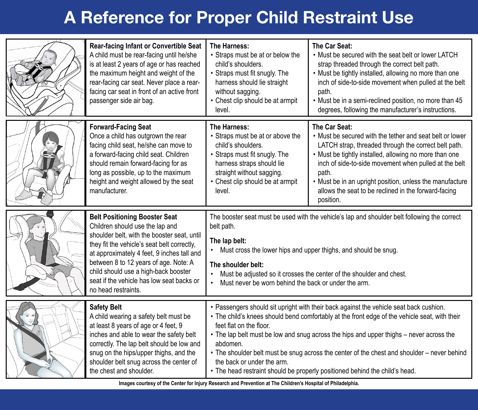# **A Reference for Proper Child Restraint Use**

| Rear-facing Infant or Convertible Seat<br>A child must be rear-facing until he/she<br>is at least 2 years of age or has reached<br>the maximum height and weight of the<br>rear-facing car seat. Never place a rear-<br>facing car seat in front of an active front<br>passenger side air bag.                                                                           | The Harness:<br>• Straps must be at or below the<br>child's shoulders.<br>• Straps must fit snugly. The<br>harness should lie straight<br>without sagging.<br>• Chest clip should be at armpit<br>level.                                                                                                                                                                                                                                                                                                                              | The Car Seat:<br>. Must be secured with the seat belt or lower LATCH<br>strap threaded through the correct belt path.<br>• Must be tightly installed, allowing no more than one<br>inch of side-to-side movement when pulled at the belt<br>path.<br>. Must be in a semi-reclined position, no more than 45<br>degrees, following the manufacturer's instructions.                             |
|--------------------------------------------------------------------------------------------------------------------------------------------------------------------------------------------------------------------------------------------------------------------------------------------------------------------------------------------------------------------------|---------------------------------------------------------------------------------------------------------------------------------------------------------------------------------------------------------------------------------------------------------------------------------------------------------------------------------------------------------------------------------------------------------------------------------------------------------------------------------------------------------------------------------------|------------------------------------------------------------------------------------------------------------------------------------------------------------------------------------------------------------------------------------------------------------------------------------------------------------------------------------------------------------------------------------------------|
| <b>Forward-Facing Seat</b><br>Once a child has outgrown the rear<br>facing child seat, he/she can move to<br>a forward-facing child seat. Children<br>should remain forward-facing for as<br>long as possible, up to the maximum<br>height and weight allowed by the seat<br>manufacturer.                                                                               | The Harness:<br>• Straps must be at or above the<br>child's shoulders.<br>• Straps must fit snugly. The<br>harness straps should lie<br>straight without sagging.<br>• Chest clip should be at armpit<br>level.                                                                                                                                                                                                                                                                                                                       | The Car Seat:<br>. Must be secured with the tether and seat belt or lower<br>LATCH strap, threaded through the correct belt path.<br>• Must be tightly installed, allowing no more than one<br>inch of side-to-side movement when pulled at the belt<br>path.<br>. Must be in an upright position, unless the manufacture<br>allows the seat to be reclined in the forward-facing<br>position. |
| <b>Belt Positioning Booster Seat</b><br>Children should use the lap and<br>shoulder belt, with the booster seat, until<br>they fit the vehicle's seat belt correctly,<br>at approximately 4 feet, 9 inches tall and<br>between 8 to 12 years of age. Note: A<br>child should use a high-back booster<br>seat if the vehicle has low seat backs or<br>no head restraints. | The booster seat must be used with the vehicle's lap and shoulder belt following the correct<br>belt path.<br>The lap belt:<br>• Must cross the lower hips and upper thighs, and should be snug.<br>The shoulder belt:<br>Must be adjusted so it crosses the center of the shoulder and chest.<br>$\bullet$<br>Must never be worn behind the back or under the arm.<br>$\bullet$                                                                                                                                                      |                                                                                                                                                                                                                                                                                                                                                                                                |
| <b>Safety Belt</b><br>A child wearing a safety belt must be<br>at least 8 years of age or 4 feet, 9<br>inches and able to wear the safety belt<br>correctly. The lap belt should be low and<br>snug on the hips/upper thighs, and the<br>shoulder belt snug across the center of<br>the chest and shoulder.                                                              | • Passengers should sit upright with their back against the vehicle seat back cushion.<br>. The child's knees should bend comfortably at the front edge of the vehicle seat, with their<br>feet flat on the floor.<br>• The lap belt must be low and snug across the hips and upper thighs – never across the<br>abdomen.<br>• The shoulder belt must be snug across the center of the chest and shoulder – never behind<br>the back or under the arm.<br>• The head restraint should be properly positioned behind the child's head. |                                                                                                                                                                                                                                                                                                                                                                                                |

**Images courtesy of the Center for Injury Research and Prevention at The Children's Hospital of Philadelphia.**